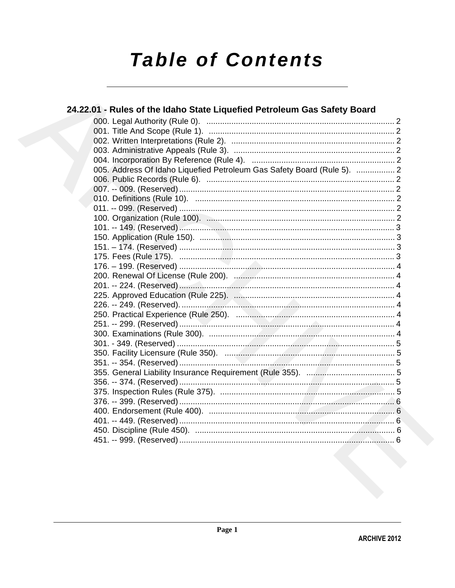# **Table of Contents**

| 24.22.01 - Rules of the Idaho State Liquefied Petroleum Gas Safety Board |  |
|--------------------------------------------------------------------------|--|
|                                                                          |  |
|                                                                          |  |
|                                                                          |  |
|                                                                          |  |
|                                                                          |  |
| 005. Address Of Idaho Liquefied Petroleum Gas Safety Board (Rule 5).  2  |  |
|                                                                          |  |
|                                                                          |  |
|                                                                          |  |
|                                                                          |  |
|                                                                          |  |
|                                                                          |  |
|                                                                          |  |
|                                                                          |  |
|                                                                          |  |
|                                                                          |  |
|                                                                          |  |
|                                                                          |  |
|                                                                          |  |
|                                                                          |  |
|                                                                          |  |
|                                                                          |  |
|                                                                          |  |
|                                                                          |  |
|                                                                          |  |
|                                                                          |  |
|                                                                          |  |
|                                                                          |  |
|                                                                          |  |
|                                                                          |  |
|                                                                          |  |
|                                                                          |  |
|                                                                          |  |
|                                                                          |  |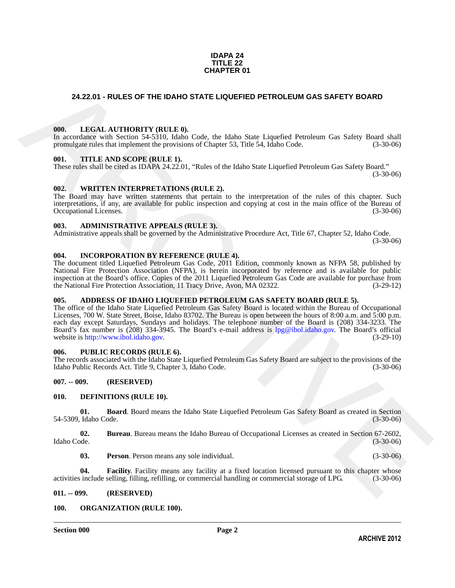#### **IDAPA 24 TITLE 22 CHAPTER 01**

#### <span id="page-1-0"></span>**24.22.01 - RULES OF THE IDAHO STATE LIQUEFIED PETROLEUM GAS SAFETY BOARD**

#### <span id="page-1-1"></span>**000. LEGAL AUTHORITY (RULE 0).**

In accordance with Section 54-5310, Idaho Code, the Idaho State Liquefied Petroleum Gas Safety Board shall promulgate rules that implement the provisions of Chapter 53, Title 54, Idaho Code. (3-30-06)

#### <span id="page-1-2"></span>**001. TITLE AND SCOPE (RULE 1).**

These rules shall be cited as IDAPA 24.22.01, "Rules of the Idaho State Liquefied Petroleum Gas Safety Board."

 $(3-30-06)$ 

#### <span id="page-1-3"></span>**002. WRITTEN INTERPRETATIONS (RULE 2).**

The Board may have written statements that pertain to the interpretation of the rules of this chapter. Such interpretations, if any, are available for public inspection and copying at cost in the main office of the Bureau of Occupational Licenses. (3-30-06) Occupational Licenses.

#### <span id="page-1-4"></span>**003. ADMINISTRATIVE APPEALS (RULE 3).**

Administrative appeals shall be governed by the Administrative Procedure Act, Title 67, Chapter 52, Idaho Code. (3-30-06)

#### <span id="page-1-5"></span>**004. INCORPORATION BY REFERENCE (RULE 4).**

The document titled Liquefied Petroleum Gas Code, 2011 Edition, commonly known as NFPA 58, published by National Fire Protection Association (NFPA), is herein incorporated by reference and is available for public inspection at the Board's office. Copies of the 2011 Liquefied Petroleum Gas Code are available for purchase from the National Fire Protection Association, 11 Tracy Drive, Avon, MA 02322. (3-29-12)

#### <span id="page-1-6"></span>**005. ADDRESS OF IDAHO LIQUEFIED PETROLEUM GAS SAFETY BOARD (RULE 5).**

24.22.01 - RULES OF THE IDAHO STATE LIQUERED PETROLEUM GAS SAFETY BOARD<br>
1001. IEKSL AITHORTW (RITE.0).<br>
The members we have the state of the code, the Idaha Same Lippeline Repubers Saring Board and<br>
the members we have t The office of the Idaho State Liquefied Petroleum Gas Safety Board is located within the Bureau of Occupational Licenses, 700 W. State Street, Boise, Idaho 83702. The Bureau is open between the hours of 8:00 a.m. and 5:00 p.m. each day except Saturdays, Sundays and holidays. The telephone number of the Board is (208) 334-3233. The Board's fax number is (208) 334-3945. The Board's e-mail address is lpg@ibol.idaho.gov. The Board's official website is http://www.ibol.idaho.gov.

#### <span id="page-1-7"></span>**006. PUBLIC RECORDS (RULE 6).**

The records associated with the Idaho State Liquefied Petroleum Gas Safety Board are subject to the provisions of the Idaho Public Records Act. Title 9, Chapter 3, Idaho Code. (3-30-06) Idaho Public Records Act. Title 9, Chapter 3, Idaho Code.

#### <span id="page-1-8"></span>**007. -- 009. (RESERVED)**

#### <span id="page-1-12"></span><span id="page-1-9"></span>**010. DEFINITIONS (RULE 10).**

<span id="page-1-13"></span>**01. Board**. Board means the Idaho State Liquefied Petroleum Gas Safety Board as created in Section 54-5309, Idaho Code. (3-30-06)

**02.** Bureau. Bureau means the Idaho Bureau of Occupational Licenses as created in Section 67-2602, Idaho Code. (3-30-06) Idaho Code. (3-30-06)

<span id="page-1-16"></span><span id="page-1-15"></span><span id="page-1-14"></span>**03. Person**. Person means any sole individual. (3-30-06)

**04. Facility.** Facility means any facility at a fixed location licensed pursuant to this chapter whose include selling, filling, refilling, or commercial handling or commercial storage of LPG. (3-30-06) activities include selling, filling, refilling, or commercial handling or commercial storage of LPG.

#### <span id="page-1-10"></span>**011. -- 099. (RESERVED)**

#### <span id="page-1-17"></span><span id="page-1-11"></span>**100. ORGANIZATION (RULE 100).**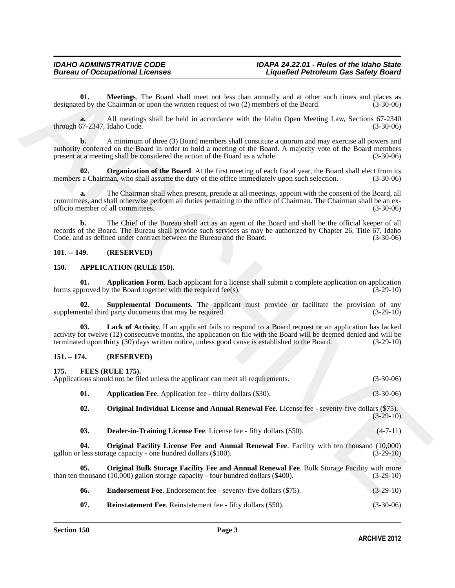#### <span id="page-2-17"></span><span id="page-2-0"></span>**101. -- 149. (RESERVED)**

#### <span id="page-2-7"></span><span id="page-2-5"></span><span id="page-2-4"></span><span id="page-2-1"></span>**150. APPLICATION (RULE 150).**

#### <span id="page-2-15"></span><span id="page-2-14"></span><span id="page-2-13"></span><span id="page-2-12"></span><span id="page-2-11"></span><span id="page-2-10"></span><span id="page-2-9"></span><span id="page-2-8"></span><span id="page-2-6"></span><span id="page-2-3"></span><span id="page-2-2"></span>**151. – 174. (RESERVED)**

<span id="page-2-16"></span>

| 01.                                | Meetings. The Board shall meet not less than annually and at other such times and places as<br>designated by the Chairman or upon the written request of two (2) members of the Board.                                                                                                                                                | $(3-30-06)$ |
|------------------------------------|---------------------------------------------------------------------------------------------------------------------------------------------------------------------------------------------------------------------------------------------------------------------------------------------------------------------------------------|-------------|
| a.<br>through 67-2347, Idaho Code. | All meetings shall be held in accordance with the Idaho Open Meeting Law, Sections 67-2340                                                                                                                                                                                                                                            | $(3-30-06)$ |
| b.                                 | A minimum of three (3) Board members shall constitute a quorum and may exercise all powers and<br>authority conferred on the Board in order to hold a meeting of the Board. A majority vote of the Board members<br>present at a meeting shall be considered the action of the Board as a whole.                                      | $(3-30-06)$ |
| 02.                                | Organization of the Board. At the first meeting of each fiscal year, the Board shall elect from its<br>members a Chairman, who shall assume the duty of the office immediately upon such selection.                                                                                                                                   | $(3-30-06)$ |
| a.                                 | The Chairman shall when present, preside at all meetings, appoint with the consent of the Board, all<br>committees, and shall otherwise perform all duties pertaining to the office of Chairman. The Chairman shall be an ex-<br>officio member of all committees.                                                                    | $(3-30-06)$ |
| b.                                 | The Chief of the Bureau shall act as an agent of the Board and shall be the official keeper of all<br>records of the Board. The Bureau shall provide such services as may be authorized by Chapter 26, Title 67, Idaho<br>Code, and as defined under contract between the Bureau and the Board.                                       | $(3-30-06)$ |
| $101. - 149.$                      | (RESERVED)                                                                                                                                                                                                                                                                                                                            |             |
| 150.                               | <b>APPLICATION (RULE 150).</b>                                                                                                                                                                                                                                                                                                        |             |
| 01.                                | Application Form. Each applicant for a license shall submit a complete application on application<br>forms approved by the Board together with the required fee(s).                                                                                                                                                                   | $(3-29-10)$ |
| 02.                                | Supplemental Documents. The applicant must provide or facilitate the provision of any<br>supplemental third party documents that may be required.                                                                                                                                                                                     | $(3-29-10)$ |
| 03.                                | <b>Lack of Activity.</b> If an applicant fails to respond to a Board request or an application has lacked<br>activity for twelve (12) consecutive months, the application on file with the Board will be deemed denied and will be<br>terminated upon thirty (30) days written notice, unless good cause is established to the Board. | $(3-29-10)$ |
| $151. - 174.$                      | (RESERVED)                                                                                                                                                                                                                                                                                                                            |             |
| 175.                               | FEES (RULE 175).<br>Applications should not be filed unless the applicant can meet all requirements.                                                                                                                                                                                                                                  | $(3-30-06)$ |
| 01.                                | <b>Application Fee.</b> Application fee - thirty dollars (\$30).                                                                                                                                                                                                                                                                      | $(3-30-06)$ |
| 02.                                | Original Individual License and Annual Renewal Fee. License fee - seventy-five dollars (\$75).                                                                                                                                                                                                                                        | $(3-29-10)$ |
| 03.                                | <b>Dealer-in-Training License Fee.</b> License fee - fifty dollars (\$50).                                                                                                                                                                                                                                                            | $(4-7-11)$  |
| 04.                                | Original Facility License Fee and Annual Renewal Fee. Facility with ten thousand (10,000)<br>gallon or less storage capacity - one hundred dollars (\$100).                                                                                                                                                                           | $(3-29-10)$ |
| 05.                                | Original Bulk Storage Facility Fee and Annual Renewal Fee. Bulk Storage Facility with more<br>than ten thousand $(10,000)$ gallon storage capacity - four hundred dollars $(\$400)$ .                                                                                                                                                 | $(3-29-10)$ |
| 06.                                | <b>Endorsement Fee.</b> Endorsement fee - seventy-five dollars (\$75).                                                                                                                                                                                                                                                                | $(3-29-10)$ |
| 07.                                | Reinstatement Fee. Reinstatement fee - fifty dollars (\$50).                                                                                                                                                                                                                                                                          | $(3-30-06)$ |
|                                    |                                                                                                                                                                                                                                                                                                                                       |             |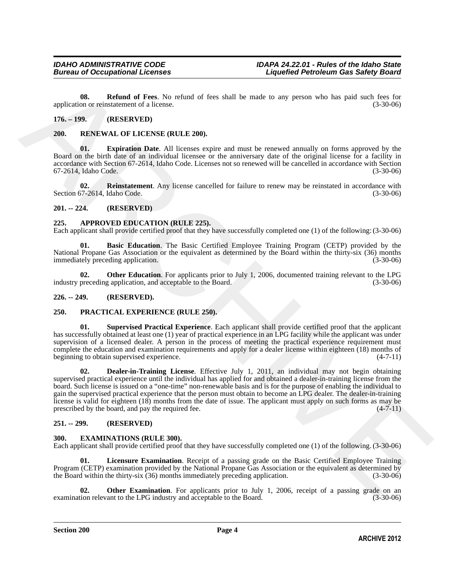<span id="page-3-14"></span>**08. Refund of Fees**. No refund of fees shall be made to any person who has paid such fees for application or reinstatement of a license. (3-30-06)

#### <span id="page-3-0"></span>**176. – 199. (RESERVED)**

#### <span id="page-3-18"></span><span id="page-3-1"></span>**200. RENEWAL OF LICENSE (RULE 200).**

<span id="page-3-19"></span>**01. Expiration Date**. All licenses expire and must be renewed annually on forms approved by the Board on the birth date of an individual licensee or the anniversary date of the original license for a facility in accordance with Section 67-2614, Idaho Code. Licenses not so renewed will be cancelled in accordance with Section 67-2614, Idaho Code. (3-30-06) 67-2614, Idaho Code.

<span id="page-3-20"></span>**02. Reinstatement**. Any license cancelled for failure to renew may be reinstated in accordance with Section 67-2614, Idaho Code. (3-30-06)

#### <span id="page-3-2"></span>**201. -- 224. (RESERVED)**

#### <span id="page-3-8"></span><span id="page-3-3"></span>**225. APPROVED EDUCATION (RULE 225).**

Each applicant shall provide certified proof that they have successfully completed one (1) of the following: (3-30-06)

<span id="page-3-9"></span>**01. Basic Education**. The Basic Certified Employee Training Program (CETP) provided by the National Propane Gas Association or the equivalent as determined by the Board within the thirty-six (36) months immediately preceding application.

<span id="page-3-10"></span>**02. Other Education**. For applicants prior to July 1, 2006, documented training relevant to the LPG preceding application, and acceptable to the Board. (3-30-06) industry preceding application, and acceptable to the Board.

#### <span id="page-3-4"></span>**226. -- 249. (RESERVED).**

#### <span id="page-3-15"></span><span id="page-3-5"></span>**250. PRACTICAL EXPERIENCE (RULE 250).**

<span id="page-3-17"></span><span id="page-3-16"></span>**01. Supervised Practical Experience**. Each applicant shall provide certified proof that the applicant has successfully obtained at least one (1) year of practical experience in an LPG facility while the applicant was under supervision of a licensed dealer. A person in the process of meeting the practical experience requirement must complete the education and examination requirements and apply for a dealer license within eighteen (18) months of beginning to obtain supervised experience. (4-7-11)

spectral on Refinand of Fore. No relind of fore, shall be made to any person who has paid and forest<br>
ARCHIVED (3.9.06)<br>
176. = 199. **RESENVED** (RESENVED)<br>
200. **RESENVED**<br>
189. **RESENVED**<br>
189. **RESENVED**<br>
189. **RESENVED 02. Dealer-in-Training License**. Effective July 1, 2011, an individual may not begin obtaining supervised practical experience until the individual has applied for and obtained a dealer-in-training license from the board. Such license is issued on a "one-time" non-renewable basis and is for the purpose of enabling the individual to gain the supervised practical experience that the person must obtain to become an LPG dealer. The dealer-in-training license is valid for eighteen  $(18)$  months from the date of issue. The applicant must apply on such forms as may be prescribed by the board, and pay the required fee.  $(4-7-11)$ prescribed by the board, and pay the required fee.

#### <span id="page-3-6"></span>**251. -- 299. (RESERVED)**

#### <span id="page-3-11"></span><span id="page-3-7"></span>**300. EXAMINATIONS (RULE 300).**

Each applicant shall provide certified proof that they have successfully completed one (1) of the following. (3-30-06)

<span id="page-3-12"></span>**01.** Licensure Examination. Receipt of a passing grade on the Basic Certified Employee Training Program (CETP) examination provided by the National Propane Gas Association or the equivalent as determined by the Board within the thirty-six (36) months immediately preceding application. (3-30-06) the Board within the thirty-six  $(36)$  months immediately preceding application.

<span id="page-3-13"></span>**02. Other Examination**. For applicants prior to July 1, 2006, receipt of a passing grade on an ion relevant to the LPG industry and acceptable to the Board. (3-30-06) examination relevant to the LPG industry and acceptable to the Board.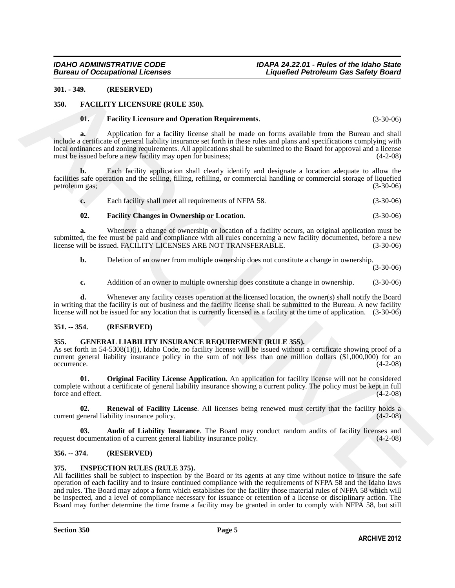#### <span id="page-4-0"></span>**301. - 349. (RESERVED)**

#### <span id="page-4-1"></span>**350. FACILITY LICENSURE (RULE 350).**

#### <span id="page-4-8"></span><span id="page-4-6"></span>**01. Facility Licensure and Operation Requirements**. (3-30-06)

361. **ARCHIVES** (REFRANCE)<br>
361. **TACTIVE INCORRECT (REFRANCE) C**. 30.00<br>
361. **Factifity Licensons and Operation Requirements.<br>
361. <b>Application C** contributed in the particular of the state on four available from t **a.** Application for a facility license shall be made on forms available from the Bureau and shall include a certificate of general liability insurance set forth in these rules and plans and specifications complying with local ordinances and zoning requirements. All applications shall be submitted to the Board for approval and a license must be issued before a new facility may open for business; (4-2-08)

**b.** Each facility application shall clearly identify and designate a location adequate to allow the facilities safe operation and the selling, filling, refilling, or commercial handling or commercial storage of liquefied petroleum gas;

<span id="page-4-7"></span>

| Each facility shall meet all requirements of NFPA 58. | $(3-30-06)$ |
|-------------------------------------------------------|-------------|
|                                                       |             |

#### **02. Facility Changes in Ownership or Location**. (3-30-06)

**a.** Whenever a change of ownership or location of a facility occurs, an original application must be submitted, the fee must be paid and compliance with all rules concerning a new facility documented, before a new<br>license will be issued. FACILITY LICENSES ARE NOT TRANSFERABLE. (3-30-06) license will be issued. FACILITY LICENSES ARE NOT TRANSFERABLE.

**b.** Deletion of an owner from multiple ownership does not constitute a change in ownership.

(3-30-06)

**c.** Addition of an owner to multiple ownership does constitute a change in ownership. (3-30-06)

**d.** Whenever any facility ceases operation at the licensed location, the owner(s) shall notify the Board in writing that the facility is out of business and the facility license shall be submitted to the Bureau. A new facility license will not be issued for any location that is currently licensed as a facility at the time of application. (3-30-06)

#### <span id="page-4-2"></span>**351. -- 354. (RESERVED)**

#### <span id="page-4-9"></span><span id="page-4-3"></span>**355. GENERAL LIABILITY INSURANCE REQUIREMENT (RULE 355).**

As set forth in 54-5308(1)(j), Idaho Code, no facility license will be issued without a certificate showing proof of a current general liability insurance policy in the sum of not less than one million dollars (\$1,000,000) for an occurrence. (4-2-08) occurrence. (4-2-08)

<span id="page-4-11"></span>**01. Original Facility License Application**. An application for facility license will not be considered complete without a certificate of general liability insurance showing a current policy. The policy must be kept in full force and effect.

<span id="page-4-12"></span>**02. Renewal of Facility License**. All licenses being renewed must certify that the facility holds a ceneral liability insurance policy. (4-2-08) current general liability insurance policy.

<span id="page-4-10"></span>**03. Audit of Liability Insurance**. The Board may conduct random audits of facility licenses and request documentation of a current general liability insurance policy. (4-2-08)

#### <span id="page-4-4"></span>**356. -- 374. (RESERVED)**

#### <span id="page-4-13"></span><span id="page-4-5"></span>**375. INSPECTION RULES (RULE 375).**

All facilities shall be subject to inspection by the Board or its agents at any time without notice to insure the safe operation of each facility and to insure continued compliance with the requirements of NFPA 58 and the Idaho laws and rules. The Board may adopt a form which establishes for the facility those material rules of NFPA 58 which will be inspected, and a level of compliance necessary for issuance or retention of a license or disciplinary action. The Board may further determine the time frame a facility may be granted in order to comply with NFPA 58, but still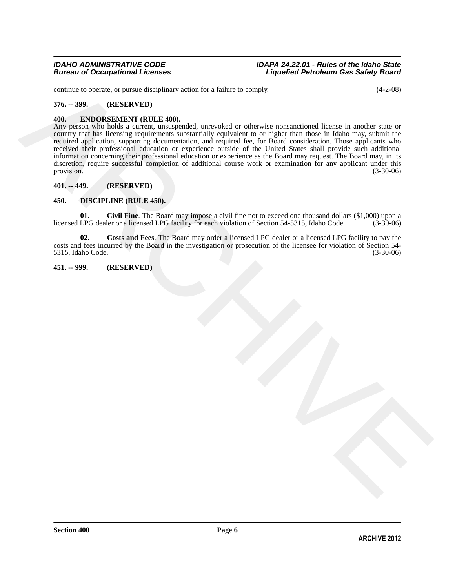continue to operate, or pursue disciplinary action for a failure to comply. (4-2-08)

#### <span id="page-5-0"></span>**376. -- 399. (RESERVED)**

#### <span id="page-5-8"></span><span id="page-5-1"></span>**400. ENDORSEMENT (RULE 400).**

continue to operate, or pursue disciplinary series for follow to comply<br>  $\mathbf{X} = \mathbf{A}\cdot\mathbf{B}\cdot\mathbf{B}$ . (RTSERWTED)<br>
ARCHIVES CONTRACT (RTSERWTED)<br>
ARCHIVES CONTRACT (RTSERWTED)<br>
ARCHIVES CONTRACT (RTSERWTED)<br>
ARCHIVES CO Any person who holds a current, unsuspended, unrevoked or otherwise nonsanctioned license in another state or country that has licensing requirements substantially equivalent to or higher than those in Idaho may, submit the required application, supporting documentation, and required fee, for Board consideration. Those applicants who received their professional education or experience outside of the United States shall provide such additional information concerning their professional education or experience as the Board may request. The Board may, in its discretion, require successful completion of additional course work or examination for any applicant under this provision. (3-30-06) provision. (3-30-06)

#### <span id="page-5-2"></span>**401. -- 449. (RESERVED)**

#### <span id="page-5-5"></span><span id="page-5-3"></span>**450. DISCIPLINE (RULE 450).**

<span id="page-5-6"></span>**01. Civil Fine**. The Board may impose a civil fine not to exceed one thousand dollars (\$1,000) upon a licensed LPG dealer or a licensed LPG facility for each violation of Section 54-5315, Idaho Code. (3-30-06)

<span id="page-5-7"></span>**02. Costs and Fees**. The Board may order a licensed LPG dealer or a licensed LPG facility to pay the costs and fees incurred by the Board in the investigation or prosecution of the licensee for violation of Section 54- 5315, Idaho Code.

#### <span id="page-5-4"></span>**451. -- 999. (RESERVED)**